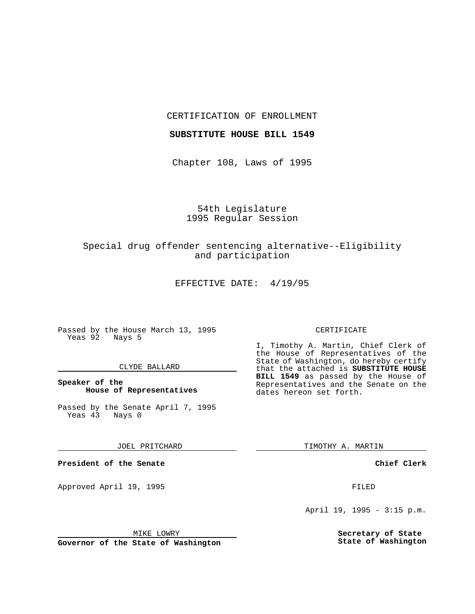CERTIFICATION OF ENROLLMENT

## **SUBSTITUTE HOUSE BILL 1549**

Chapter 108, Laws of 1995

# 54th Legislature 1995 Regular Session

# Special drug offender sentencing alternative--Eligibility and participation

EFFECTIVE DATE: 4/19/95

Passed by the House March 13, 1995 Yeas 92 Nays 5

## CLYDE BALLARD

# **Speaker of the House of Representatives**

Passed by the Senate April 7, 1995<br>Yeas 43 Nays 0 Yeas 43

### JOEL PRITCHARD

**President of the Senate**

Approved April 19, 1995 FILED

dates hereon set forth.

TIMOTHY A. MARTIN

CERTIFICATE

I, Timothy A. Martin, Chief Clerk of the House of Representatives of the State of Washington, do hereby certify that the attached is **SUBSTITUTE HOUSE BILL 1549** as passed by the House of Representatives and the Senate on the

# **Chief Clerk**

April 19, 1995 - 3:15 p.m.

**Secretary of State State of Washington**

MIKE LOWRY

**Governor of the State of Washington**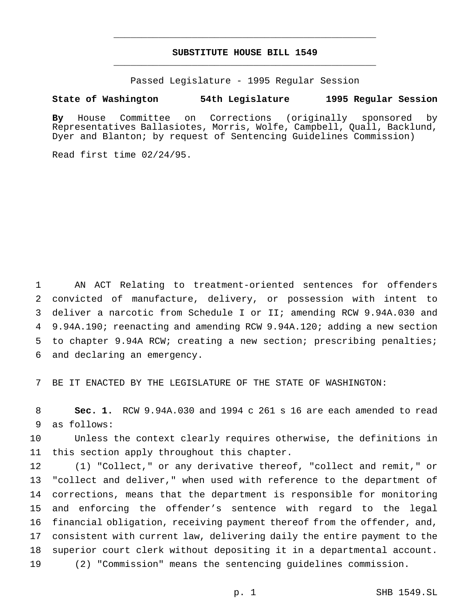# **SUBSTITUTE HOUSE BILL 1549** \_\_\_\_\_\_\_\_\_\_\_\_\_\_\_\_\_\_\_\_\_\_\_\_\_\_\_\_\_\_\_\_\_\_\_\_\_\_\_\_\_\_\_\_\_\_\_

\_\_\_\_\_\_\_\_\_\_\_\_\_\_\_\_\_\_\_\_\_\_\_\_\_\_\_\_\_\_\_\_\_\_\_\_\_\_\_\_\_\_\_\_\_\_\_

Passed Legislature - 1995 Regular Session

# **State of Washington 54th Legislature 1995 Regular Session**

**By** House Committee on Corrections (originally sponsored by Representatives Ballasiotes, Morris, Wolfe, Campbell, Quall, Backlund, Dyer and Blanton; by request of Sentencing Guidelines Commission)

Read first time 02/24/95.

 AN ACT Relating to treatment-oriented sentences for offenders convicted of manufacture, delivery, or possession with intent to deliver a narcotic from Schedule I or II; amending RCW 9.94A.030 and 9.94A.190; reenacting and amending RCW 9.94A.120; adding a new section to chapter 9.94A RCW; creating a new section; prescribing penalties; and declaring an emergency.

BE IT ENACTED BY THE LEGISLATURE OF THE STATE OF WASHINGTON:

 **Sec. 1.** RCW 9.94A.030 and 1994 c 261 s 16 are each amended to read as follows:

 Unless the context clearly requires otherwise, the definitions in this section apply throughout this chapter.

 (1) "Collect," or any derivative thereof, "collect and remit," or "collect and deliver," when used with reference to the department of corrections, means that the department is responsible for monitoring and enforcing the offender's sentence with regard to the legal financial obligation, receiving payment thereof from the offender, and, consistent with current law, delivering daily the entire payment to the superior court clerk without depositing it in a departmental account. (2) "Commission" means the sentencing guidelines commission.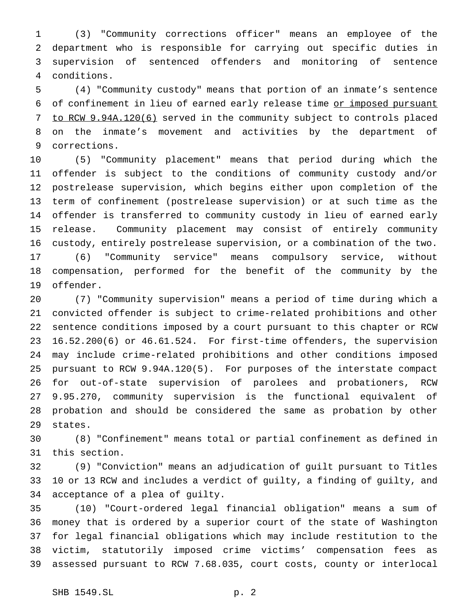(3) "Community corrections officer" means an employee of the department who is responsible for carrying out specific duties in supervision of sentenced offenders and monitoring of sentence conditions.

 (4) "Community custody" means that portion of an inmate's sentence of confinement in lieu of earned early release time or imposed pursuant to RCW 9.94A.120(6) served in the community subject to controls placed on the inmate's movement and activities by the department of corrections.

 (5) "Community placement" means that period during which the offender is subject to the conditions of community custody and/or postrelease supervision, which begins either upon completion of the term of confinement (postrelease supervision) or at such time as the offender is transferred to community custody in lieu of earned early release. Community placement may consist of entirely community custody, entirely postrelease supervision, or a combination of the two. (6) "Community service" means compulsory service, without compensation, performed for the benefit of the community by the offender.

 (7) "Community supervision" means a period of time during which a convicted offender is subject to crime-related prohibitions and other sentence conditions imposed by a court pursuant to this chapter or RCW 16.52.200(6) or 46.61.524. For first-time offenders, the supervision may include crime-related prohibitions and other conditions imposed pursuant to RCW 9.94A.120(5). For purposes of the interstate compact for out-of-state supervision of parolees and probationers, RCW 9.95.270, community supervision is the functional equivalent of probation and should be considered the same as probation by other states.

 (8) "Confinement" means total or partial confinement as defined in this section.

 (9) "Conviction" means an adjudication of guilt pursuant to Titles 10 or 13 RCW and includes a verdict of guilty, a finding of guilty, and acceptance of a plea of guilty.

 (10) "Court-ordered legal financial obligation" means a sum of money that is ordered by a superior court of the state of Washington for legal financial obligations which may include restitution to the victim, statutorily imposed crime victims' compensation fees as assessed pursuant to RCW 7.68.035, court costs, county or interlocal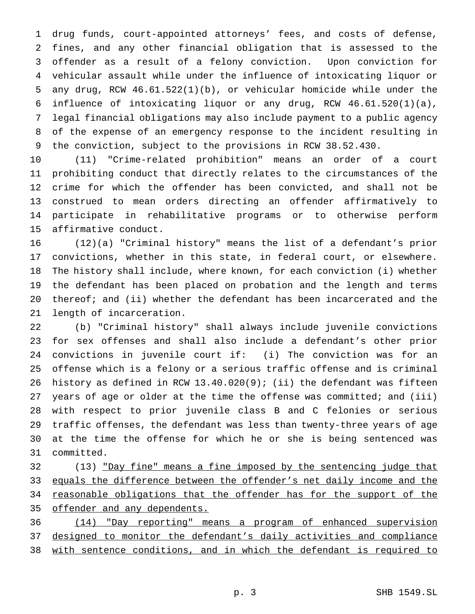drug funds, court-appointed attorneys' fees, and costs of defense, fines, and any other financial obligation that is assessed to the offender as a result of a felony conviction. Upon conviction for vehicular assault while under the influence of intoxicating liquor or any drug, RCW 46.61.522(1)(b), or vehicular homicide while under the influence of intoxicating liquor or any drug, RCW 46.61.520(1)(a), legal financial obligations may also include payment to a public agency of the expense of an emergency response to the incident resulting in the conviction, subject to the provisions in RCW 38.52.430.

 (11) "Crime-related prohibition" means an order of a court prohibiting conduct that directly relates to the circumstances of the crime for which the offender has been convicted, and shall not be construed to mean orders directing an offender affirmatively to participate in rehabilitative programs or to otherwise perform affirmative conduct.

 (12)(a) "Criminal history" means the list of a defendant's prior convictions, whether in this state, in federal court, or elsewhere. The history shall include, where known, for each conviction (i) whether the defendant has been placed on probation and the length and terms thereof; and (ii) whether the defendant has been incarcerated and the length of incarceration.

 (b) "Criminal history" shall always include juvenile convictions for sex offenses and shall also include a defendant's other prior convictions in juvenile court if: (i) The conviction was for an offense which is a felony or a serious traffic offense and is criminal history as defined in RCW 13.40.020(9); (ii) the defendant was fifteen years of age or older at the time the offense was committed; and (iii) with respect to prior juvenile class B and C felonies or serious traffic offenses, the defendant was less than twenty-three years of age at the time the offense for which he or she is being sentenced was committed.

32 (13) "Day fine" means a fine imposed by the sentencing judge that equals the difference between the offender's net daily income and the 34 reasonable obligations that the offender has for the support of the offender and any dependents.

 (14) "Day reporting" means a program of enhanced supervision 37 designed to monitor the defendant's daily activities and compliance with sentence conditions, and in which the defendant is required to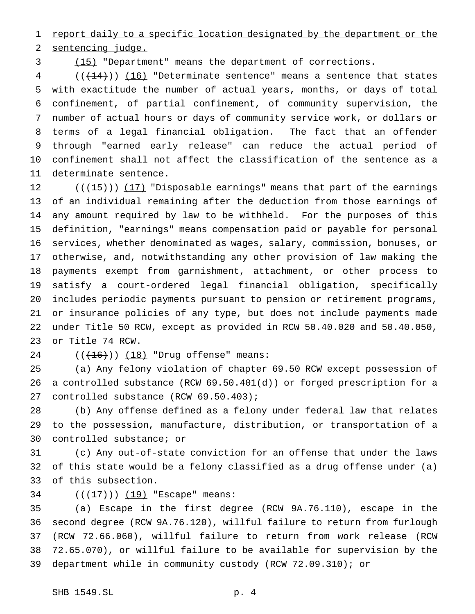1 report daily to a specific location designated by the department or the sentencing judge.

(15) "Department" means the department of corrections.

 (( $\left(\frac{14}{14}\right)$ ) (16) "Determinate sentence" means a sentence that states with exactitude the number of actual years, months, or days of total confinement, of partial confinement, of community supervision, the number of actual hours or days of community service work, or dollars or terms of a legal financial obligation. The fact that an offender through "earned early release" can reduce the actual period of confinement shall not affect the classification of the sentence as a determinate sentence.

 $((+15))$   $(17)$  "Disposable earnings" means that part of the earnings of an individual remaining after the deduction from those earnings of any amount required by law to be withheld. For the purposes of this definition, "earnings" means compensation paid or payable for personal services, whether denominated as wages, salary, commission, bonuses, or otherwise, and, notwithstanding any other provision of law making the payments exempt from garnishment, attachment, or other process to satisfy a court-ordered legal financial obligation, specifically includes periodic payments pursuant to pension or retirement programs, or insurance policies of any type, but does not include payments made under Title 50 RCW, except as provided in RCW 50.40.020 and 50.40.050, or Title 74 RCW.

24  $((+16))$   $(18)$  "Drug offense" means:

 (a) Any felony violation of chapter 69.50 RCW except possession of a controlled substance (RCW 69.50.401(d)) or forged prescription for a 27 controlled substance (RCW 69.50.403);

 (b) Any offense defined as a felony under federal law that relates to the possession, manufacture, distribution, or transportation of a controlled substance; or

 (c) Any out-of-state conviction for an offense that under the laws of this state would be a felony classified as a drug offense under (a) of this subsection.

34 (((17)) (19) "Escape" means:

 (a) Escape in the first degree (RCW 9A.76.110), escape in the second degree (RCW 9A.76.120), willful failure to return from furlough (RCW 72.66.060), willful failure to return from work release (RCW 72.65.070), or willful failure to be available for supervision by the department while in community custody (RCW 72.09.310); or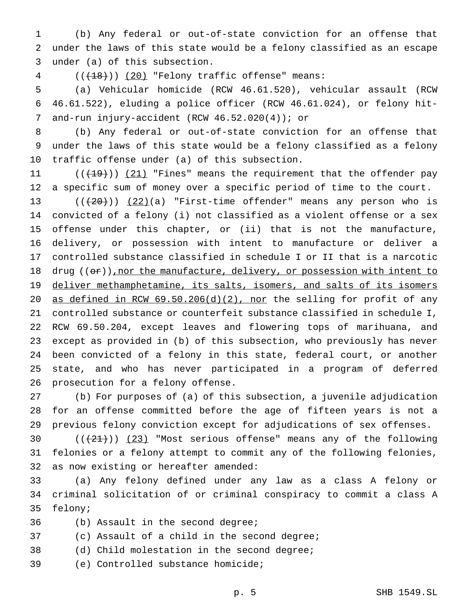(b) Any federal or out-of-state conviction for an offense that under the laws of this state would be a felony classified as an escape under (a) of this subsection.

4 (( $(18)$ )) (20) "Felony traffic offense" means:

 (a) Vehicular homicide (RCW 46.61.520), vehicular assault (RCW 46.61.522), eluding a police officer (RCW 46.61.024), or felony hit-7 and-run injury-accident (RCW 46.52.020(4)); or

 (b) Any federal or out-of-state conviction for an offense that under the laws of this state would be a felony classified as a felony traffic offense under (a) of this subsection.

 $((+19))$   $(21)$  "Fines" means the requirement that the offender pay a specific sum of money over a specific period of time to the court.

 $((+20))$   $(22)(a)$  "First-time offender" means any person who is convicted of a felony (i) not classified as a violent offense or a sex offense under this chapter, or (ii) that is not the manufacture, delivery, or possession with intent to manufacture or deliver a controlled substance classified in schedule I or II that is a narcotic 18 drug  $((er))$ , nor the manufacture, delivery, or possession with intent to 19 deliver methamphetamine, its salts, isomers, and salts of its isomers 20 as defined in RCW 69.50.206(d)(2), nor the selling for profit of any controlled substance or counterfeit substance classified in schedule I, RCW 69.50.204, except leaves and flowering tops of marihuana, and except as provided in (b) of this subsection, who previously has never been convicted of a felony in this state, federal court, or another state, and who has never participated in a program of deferred prosecution for a felony offense.

 (b) For purposes of (a) of this subsection, a juvenile adjudication for an offense committed before the age of fifteen years is not a previous felony conviction except for adjudications of sex offenses.

30  $((+21))$   $(23)$  "Most serious offense" means any of the following felonies or a felony attempt to commit any of the following felonies, as now existing or hereafter amended:

 (a) Any felony defined under any law as a class A felony or criminal solicitation of or criminal conspiracy to commit a class A felony;

- 
- (b) Assault in the second degree;
- (c) Assault of a child in the second degree;
- (d) Child molestation in the second degree;
- (e) Controlled substance homicide;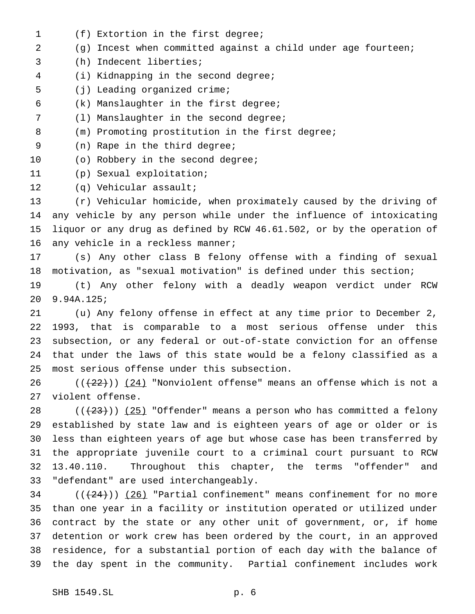- (f) Extortion in the first degree;
- (g) Incest when committed against a child under age fourteen;
- (h) Indecent liberties;
- (i) Kidnapping in the second degree;
- (j) Leading organized crime;
- (k) Manslaughter in the first degree;
- (l) Manslaughter in the second degree;
- (m) Promoting prostitution in the first degree;
- (n) Rape in the third degree;
- 10 (o) Robbery in the second degree;
- (p) Sexual exploitation;
- (q) Vehicular assault;

 (r) Vehicular homicide, when proximately caused by the driving of any vehicle by any person while under the influence of intoxicating liquor or any drug as defined by RCW 46.61.502, or by the operation of 16 any vehicle in a reckless manner;

 (s) Any other class B felony offense with a finding of sexual motivation, as "sexual motivation" is defined under this section;

 (t) Any other felony with a deadly weapon verdict under RCW 9.94A.125;

 (u) Any felony offense in effect at any time prior to December 2, 1993, that is comparable to a most serious offense under this subsection, or any federal or out-of-state conviction for an offense that under the laws of this state would be a felony classified as a most serious offense under this subsection.

26 ( $(\frac{22}{2})$ ) (24) "Nonviolent offense" means an offense which is not a violent offense.

 $((+23))$   $(25)$  "Offender" means a person who has committed a felony established by state law and is eighteen years of age or older or is less than eighteen years of age but whose case has been transferred by the appropriate juvenile court to a criminal court pursuant to RCW 13.40.110. Throughout this chapter, the terms "offender" and "defendant" are used interchangeably.

 (( $(24)$ )) (26) "Partial confinement" means confinement for no more than one year in a facility or institution operated or utilized under contract by the state or any other unit of government, or, if home detention or work crew has been ordered by the court, in an approved residence, for a substantial portion of each day with the balance of the day spent in the community. Partial confinement includes work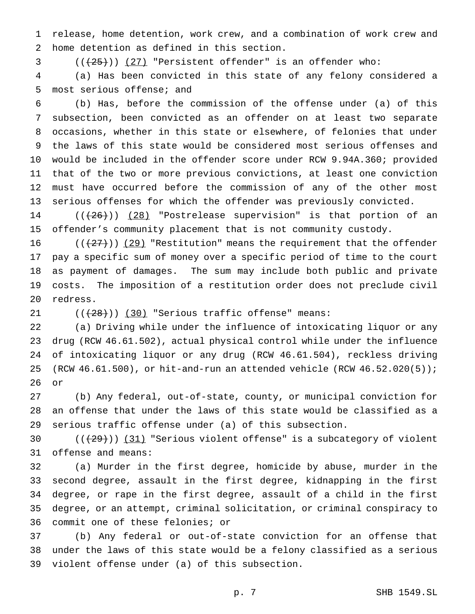release, home detention, work crew, and a combination of work crew and home detention as defined in this section.

( $(\frac{25}{12})$ ) (27) "Persistent offender" is an offender who:

 (a) Has been convicted in this state of any felony considered a most serious offense; and

 (b) Has, before the commission of the offense under (a) of this subsection, been convicted as an offender on at least two separate occasions, whether in this state or elsewhere, of felonies that under the laws of this state would be considered most serious offenses and would be included in the offender score under RCW 9.94A.360; provided that of the two or more previous convictions, at least one conviction must have occurred before the commission of any of the other most serious offenses for which the offender was previously convicted.

14  $((+26))$   $(28)$  "Postrelease supervision" is that portion of an offender's community placement that is not community custody.

 $((+27))$  (29) "Restitution" means the requirement that the offender pay a specific sum of money over a specific period of time to the court as payment of damages. The sum may include both public and private costs. The imposition of a restitution order does not preclude civil redress.

 $((+28))$  (30) "Serious traffic offense" means:

 (a) Driving while under the influence of intoxicating liquor or any drug (RCW 46.61.502), actual physical control while under the influence of intoxicating liquor or any drug (RCW 46.61.504), reckless driving (RCW 46.61.500), or hit-and-run an attended vehicle (RCW 46.52.020(5)); or

 (b) Any federal, out-of-state, county, or municipal conviction for an offense that under the laws of this state would be classified as a serious traffic offense under (a) of this subsection.

30  $((+29))$   $(31)$  "Serious violent offense" is a subcategory of violent offense and means:

 (a) Murder in the first degree, homicide by abuse, murder in the second degree, assault in the first degree, kidnapping in the first degree, or rape in the first degree, assault of a child in the first degree, or an attempt, criminal solicitation, or criminal conspiracy to commit one of these felonies; or

 (b) Any federal or out-of-state conviction for an offense that under the laws of this state would be a felony classified as a serious violent offense under (a) of this subsection.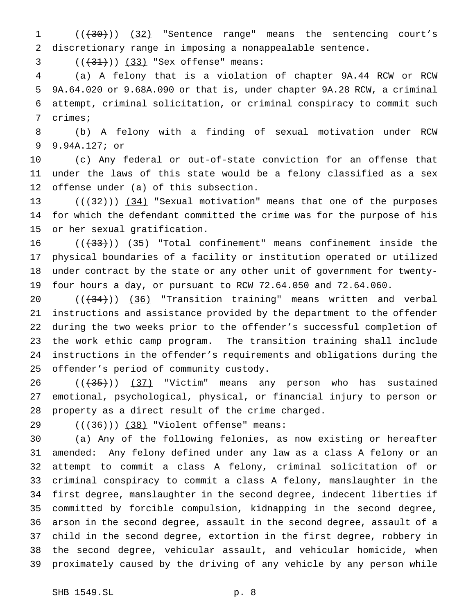1 (( $(30)$ )) (32) "Sentence range" means the sentencing court's discretionary range in imposing a nonappealable sentence.

3  $((+31))$   $(33)$  "Sex offense" means:

 (a) A felony that is a violation of chapter 9A.44 RCW or RCW 9A.64.020 or 9.68A.090 or that is, under chapter 9A.28 RCW, a criminal attempt, criminal solicitation, or criminal conspiracy to commit such crimes;

 (b) A felony with a finding of sexual motivation under RCW 9.94A.127; or

 (c) Any federal or out-of-state conviction for an offense that under the laws of this state would be a felony classified as a sex offense under (a) of this subsection.

13  $((+32))$   $(34)$  "Sexual motivation" means that one of the purposes for which the defendant committed the crime was for the purpose of his or her sexual gratification.

 $((+33))$   $(35)$  "Total confinement" means confinement inside the physical boundaries of a facility or institution operated or utilized under contract by the state or any other unit of government for twenty-four hours a day, or pursuant to RCW 72.64.050 and 72.64.060.

 $((+34))$  (36) "Transition training" means written and verbal instructions and assistance provided by the department to the offender during the two weeks prior to the offender's successful completion of the work ethic camp program. The transition training shall include instructions in the offender's requirements and obligations during the offender's period of community custody.

  $((+35))$   $(37)$  "Victim" means any person who has sustained emotional, psychological, physical, or financial injury to person or property as a direct result of the crime charged.

29 ((<del>(36)</del>)) (38) "Violent offense" means:

 (a) Any of the following felonies, as now existing or hereafter amended: Any felony defined under any law as a class A felony or an attempt to commit a class A felony, criminal solicitation of or criminal conspiracy to commit a class A felony, manslaughter in the first degree, manslaughter in the second degree, indecent liberties if committed by forcible compulsion, kidnapping in the second degree, arson in the second degree, assault in the second degree, assault of a child in the second degree, extortion in the first degree, robbery in the second degree, vehicular assault, and vehicular homicide, when proximately caused by the driving of any vehicle by any person while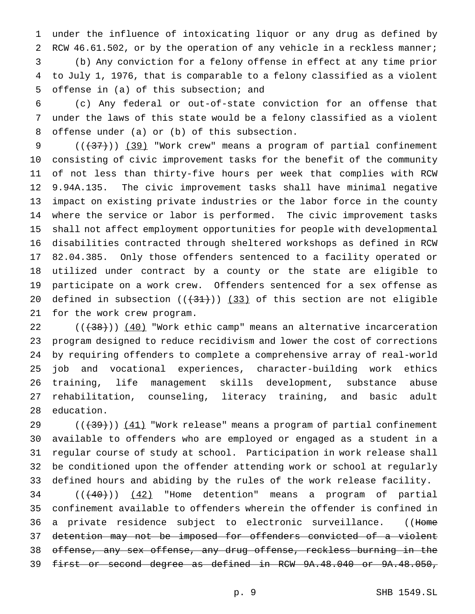under the influence of intoxicating liquor or any drug as defined by 2 RCW 46.61.502, or by the operation of any vehicle in a reckless manner; (b) Any conviction for a felony offense in effect at any time prior to July 1, 1976, that is comparable to a felony classified as a violent offense in (a) of this subsection; and

 (c) Any federal or out-of-state conviction for an offense that under the laws of this state would be a felony classified as a violent offense under (a) or (b) of this subsection.

 $((+37))$  (39) "Work crew" means a program of partial confinement consisting of civic improvement tasks for the benefit of the community of not less than thirty-five hours per week that complies with RCW 9.94A.135. The civic improvement tasks shall have minimal negative impact on existing private industries or the labor force in the county where the service or labor is performed. The civic improvement tasks shall not affect employment opportunities for people with developmental disabilities contracted through sheltered workshops as defined in RCW 82.04.385. Only those offenders sentenced to a facility operated or utilized under contract by a county or the state are eligible to participate on a work crew. Offenders sentenced for a sex offense as 20 defined in subsection  $((+31))$   $(33)$  of this section are not eligible for the work crew program.

 $((+38))$   $(40)$  "Work ethic camp" means an alternative incarceration program designed to reduce recidivism and lower the cost of corrections by requiring offenders to complete a comprehensive array of real-world job and vocational experiences, character-building work ethics training, life management skills development, substance abuse rehabilitation, counseling, literacy training, and basic adult education.

 $((+39))$   $(41)$  "Work release" means a program of partial confinement available to offenders who are employed or engaged as a student in a regular course of study at school. Participation in work release shall be conditioned upon the offender attending work or school at regularly defined hours and abiding by the rules of the work release facility.

  $((+40))$   $(42)$  "Home detention" means a program of partial confinement available to offenders wherein the offender is confined in 36 a private residence subject to electronic surveillance. ((Home detention may not be imposed for offenders convicted of a violent offense, any sex offense, any drug offense, reckless burning in the first or second degree as defined in RCW 9A.48.040 or 9A.48.050,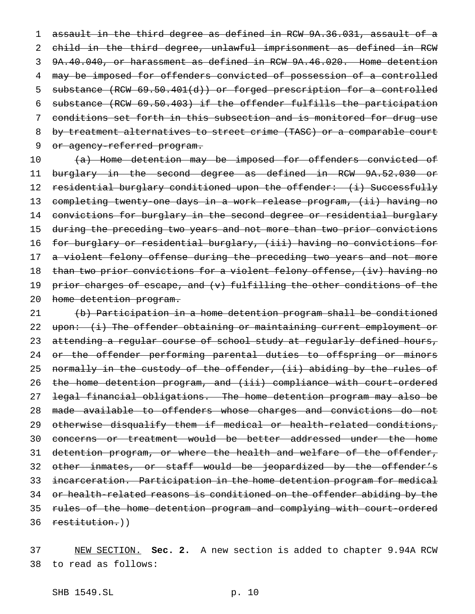assault in the third degree as defined in RCW 9A.36.031, assault of a child in the third degree, unlawful imprisonment as defined in RCW 9A.40.040, or harassment as defined in RCW 9A.46.020. Home detention may be imposed for offenders convicted of possession of a controlled substance (RCW 69.50.401(d)) or forged prescription for a controlled substance (RCW 69.50.403) if the offender fulfills the participation conditions set forth in this subsection and is monitored for drug use by treatment alternatives to street crime (TASC) or a comparable court 9 or agency-referred program.

10 (a) Home detention may be imposed for offenders convicted of 11 burglary in the second degree as defined in RCW 9A.52.030 or 12 residential burglary conditioned upon the offender: (i) Successfully 13 completing twenty-one days in a work release program, (ii) having no 14 convictions for burglary in the second degree or residential burglary 15 during the preceding two years and not more than two prior convictions 16 for burglary or residential burglary, (iii) having no convictions for 17 a violent felony offense during the preceding two years and not more 18 than two prior convictions for a violent felony offense, (iv) having no 19 prior charges of escape, and (v) fulfilling the other conditions of the 20 home detention program.

21 (b) Participation in a home detention program shall be conditioned 22 upon: (i) The offender obtaining or maintaining current employment or 23 attending a regular course of school study at regularly defined hours, 24 or the offender performing parental duties to offspring or minors 25 normally in the custody of the offender, (ii) abiding by the rules of 26 the home detention program, and (iii) compliance with court-ordered 27 legal financial obligations. The home detention program may also be 28 made available to offenders whose charges and convictions do not 29 otherwise disqualify them if medical or health-related conditions, 30 concerns or treatment would be better addressed under the home 31 detention program, or where the health and welfare of the offender, 32 other inmates, or staff would be jeopardized by the offender's 33 incarceration. Participation in the home detention program for medical 34 or health-related reasons is conditioned on the offender abiding by the 35 rules of the home detention program and complying with court-ordered 36 restitution.))

37 NEW SECTION. **Sec. 2.** A new section is added to chapter 9.94A RCW 38 to read as follows: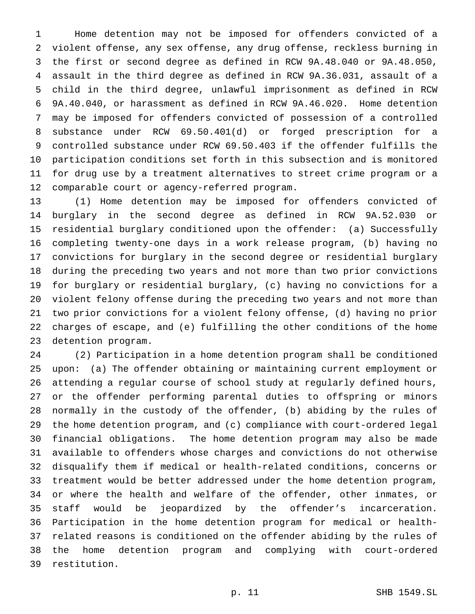Home detention may not be imposed for offenders convicted of a violent offense, any sex offense, any drug offense, reckless burning in the first or second degree as defined in RCW 9A.48.040 or 9A.48.050, assault in the third degree as defined in RCW 9A.36.031, assault of a child in the third degree, unlawful imprisonment as defined in RCW 9A.40.040, or harassment as defined in RCW 9A.46.020. Home detention may be imposed for offenders convicted of possession of a controlled substance under RCW 69.50.401(d) or forged prescription for a controlled substance under RCW 69.50.403 if the offender fulfills the participation conditions set forth in this subsection and is monitored for drug use by a treatment alternatives to street crime program or a comparable court or agency-referred program.

 (1) Home detention may be imposed for offenders convicted of burglary in the second degree as defined in RCW 9A.52.030 or residential burglary conditioned upon the offender: (a) Successfully completing twenty-one days in a work release program, (b) having no convictions for burglary in the second degree or residential burglary during the preceding two years and not more than two prior convictions for burglary or residential burglary, (c) having no convictions for a violent felony offense during the preceding two years and not more than two prior convictions for a violent felony offense, (d) having no prior charges of escape, and (e) fulfilling the other conditions of the home detention program.

 (2) Participation in a home detention program shall be conditioned upon: (a) The offender obtaining or maintaining current employment or attending a regular course of school study at regularly defined hours, or the offender performing parental duties to offspring or minors normally in the custody of the offender, (b) abiding by the rules of the home detention program, and (c) compliance with court-ordered legal financial obligations. The home detention program may also be made available to offenders whose charges and convictions do not otherwise disqualify them if medical or health-related conditions, concerns or treatment would be better addressed under the home detention program, or where the health and welfare of the offender, other inmates, or staff would be jeopardized by the offender's incarceration. Participation in the home detention program for medical or health- related reasons is conditioned on the offender abiding by the rules of the home detention program and complying with court-ordered restitution.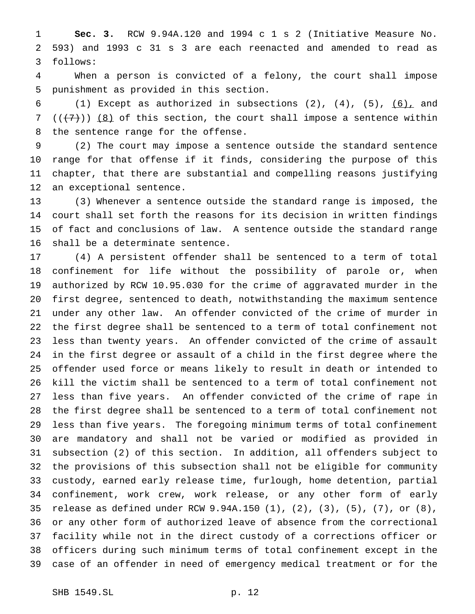**Sec. 3.** RCW 9.94A.120 and 1994 c 1 s 2 (Initiative Measure No. 593) and 1993 c 31 s 3 are each reenacted and amended to read as follows:

 When a person is convicted of a felony, the court shall impose punishment as provided in this section.

6 (1) Except as authorized in subsections  $(2)$ ,  $(4)$ ,  $(5)$ ,  $(6)$ , and 7 ( $(\overline{+7})$ ) (8) of this section, the court shall impose a sentence within the sentence range for the offense.

 (2) The court may impose a sentence outside the standard sentence range for that offense if it finds, considering the purpose of this chapter, that there are substantial and compelling reasons justifying an exceptional sentence.

 (3) Whenever a sentence outside the standard range is imposed, the court shall set forth the reasons for its decision in written findings of fact and conclusions of law. A sentence outside the standard range shall be a determinate sentence.

 (4) A persistent offender shall be sentenced to a term of total confinement for life without the possibility of parole or, when authorized by RCW 10.95.030 for the crime of aggravated murder in the first degree, sentenced to death, notwithstanding the maximum sentence under any other law. An offender convicted of the crime of murder in the first degree shall be sentenced to a term of total confinement not less than twenty years. An offender convicted of the crime of assault in the first degree or assault of a child in the first degree where the offender used force or means likely to result in death or intended to kill the victim shall be sentenced to a term of total confinement not less than five years. An offender convicted of the crime of rape in the first degree shall be sentenced to a term of total confinement not less than five years. The foregoing minimum terms of total confinement are mandatory and shall not be varied or modified as provided in subsection (2) of this section. In addition, all offenders subject to the provisions of this subsection shall not be eligible for community custody, earned early release time, furlough, home detention, partial confinement, work crew, work release, or any other form of early release as defined under RCW 9.94A.150 (1), (2), (3), (5), (7), or (8), or any other form of authorized leave of absence from the correctional facility while not in the direct custody of a corrections officer or officers during such minimum terms of total confinement except in the case of an offender in need of emergency medical treatment or for the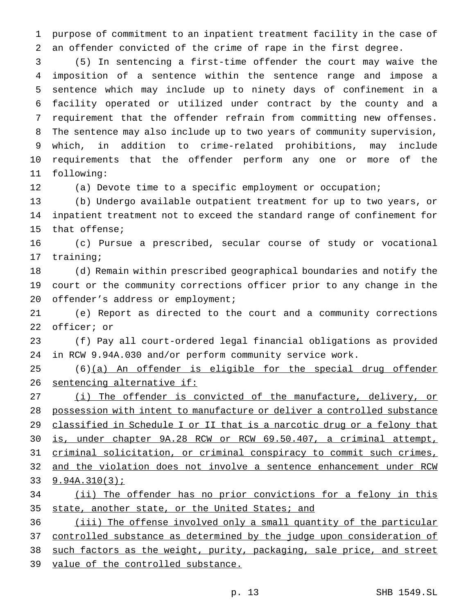purpose of commitment to an inpatient treatment facility in the case of an offender convicted of the crime of rape in the first degree.

 (5) In sentencing a first-time offender the court may waive the imposition of a sentence within the sentence range and impose a sentence which may include up to ninety days of confinement in a facility operated or utilized under contract by the county and a requirement that the offender refrain from committing new offenses. The sentence may also include up to two years of community supervision, which, in addition to crime-related prohibitions, may include requirements that the offender perform any one or more of the following:

(a) Devote time to a specific employment or occupation;

 (b) Undergo available outpatient treatment for up to two years, or inpatient treatment not to exceed the standard range of confinement for that offense;

 (c) Pursue a prescribed, secular course of study or vocational training;

 (d) Remain within prescribed geographical boundaries and notify the court or the community corrections officer prior to any change in the 20 offender's address or employment;

 (e) Report as directed to the court and a community corrections officer; or

 (f) Pay all court-ordered legal financial obligations as provided in RCW 9.94A.030 and/or perform community service work.

25 (6)(a) An offender is eligible for the special drug offender 26 sentencing alternative if:

 (i) The offender is convicted of the manufacture, delivery, or possession with intent to manufacture or deliver a controlled substance 29 classified in Schedule I or II that is a narcotic drug or a felony that is, under chapter 9A.28 RCW or RCW 69.50.407, a criminal attempt, criminal solicitation, or criminal conspiracy to commit such crimes, and the violation does not involve a sentence enhancement under RCW 9.94A.310(3); (ii) The offender has no prior convictions for a felony in this

35 state, another state, or the United States; and

 (iii) The offense involved only a small quantity of the particular 37 controlled substance as determined by the judge upon consideration of

such factors as the weight, purity, packaging, sale price, and street

value of the controlled substance.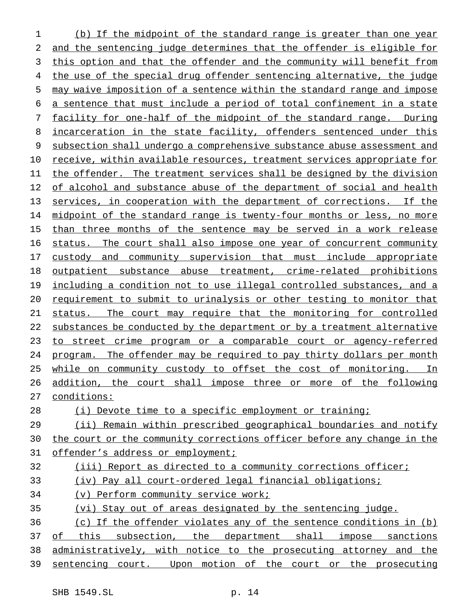(b) If the midpoint of the standard range is greater than one year and the sentencing judge determines that the offender is eligible for this option and that the offender and the community will benefit from the use of the special drug offender sentencing alternative, the judge may waive imposition of a sentence within the standard range and impose a sentence that must include a period of total confinement in a state facility for one-half of the midpoint of the standard range. During 8 incarceration in the state facility, offenders sentenced under this subsection shall undergo a comprehensive substance abuse assessment and receive, within available resources, treatment services appropriate for the offender. The treatment services shall be designed by the division 12 of alcohol and substance abuse of the department of social and health services, in cooperation with the department of corrections. If the 14 midpoint of the standard range is twenty-four months or less, no more 15 than three months of the sentence may be served in a work release status. The court shall also impose one year of concurrent community 17 custody and community supervision that must include appropriate outpatient substance abuse treatment, crime-related prohibitions including a condition not to use illegal controlled substances, and a requirement to submit to urinalysis or other testing to monitor that status. The court may require that the monitoring for controlled 22 substances be conducted by the department or by a treatment alternative 23 to street crime program or a comparable court or agency-referred program. The offender may be required to pay thirty dollars per month while on community custody to offset the cost of monitoring. In 26 addition, the court shall impose three or more of the following conditions: (i) Devote time to a specific employment or training; (ii) Remain within prescribed geographical boundaries and notify 30 the court or the community corrections officer before any change in the 31 offender's address or employment; (iii) Report as directed to a community corrections officer; (iv) Pay all court-ordered legal financial obligations; (v) Perform community service work; (vi) Stay out of areas designated by the sentencing judge. (c) If the offender violates any of the sentence conditions in (b) 37 of this subsection, the department shall impose sanctions administratively, with notice to the prosecuting attorney and the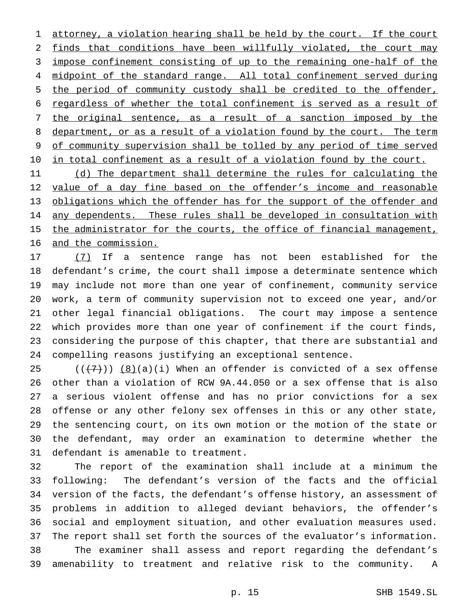attorney, a violation hearing shall be held by the court. If the court finds that conditions have been willfully violated, the court may impose confinement consisting of up to the remaining one-half of the 4 midpoint of the standard range. All total confinement served during the period of community custody shall be credited to the offender, regardless of whether the total confinement is served as a result of the original sentence, as a result of a sanction imposed by the 8 department, or as a result of a violation found by the court. The term 9 of community supervision shall be tolled by any period of time served 10 in total confinement as a result of a violation found by the court.

11 (d) The department shall determine the rules for calculating the 12 value of a day fine based on the offender's income and reasonable obligations which the offender has for the support of the offender and 14 any dependents. These rules shall be developed in consultation with 15 the administrator for the courts, the office of financial management, and the commission.

 (7) If a sentence range has not been established for the defendant's crime, the court shall impose a determinate sentence which may include not more than one year of confinement, community service work, a term of community supervision not to exceed one year, and/or other legal financial obligations. The court may impose a sentence which provides more than one year of confinement if the court finds, considering the purpose of this chapter, that there are substantial and compelling reasons justifying an exceptional sentence.

 $((\langle 7\rangle)(8)(a)(i))$  When an offender is convicted of a sex offense other than a violation of RCW 9A.44.050 or a sex offense that is also a serious violent offense and has no prior convictions for a sex offense or any other felony sex offenses in this or any other state, the sentencing court, on its own motion or the motion of the state or the defendant, may order an examination to determine whether the defendant is amenable to treatment.

 The report of the examination shall include at a minimum the following: The defendant's version of the facts and the official version of the facts, the defendant's offense history, an assessment of problems in addition to alleged deviant behaviors, the offender's social and employment situation, and other evaluation measures used. The report shall set forth the sources of the evaluator's information. The examiner shall assess and report regarding the defendant's amenability to treatment and relative risk to the community. A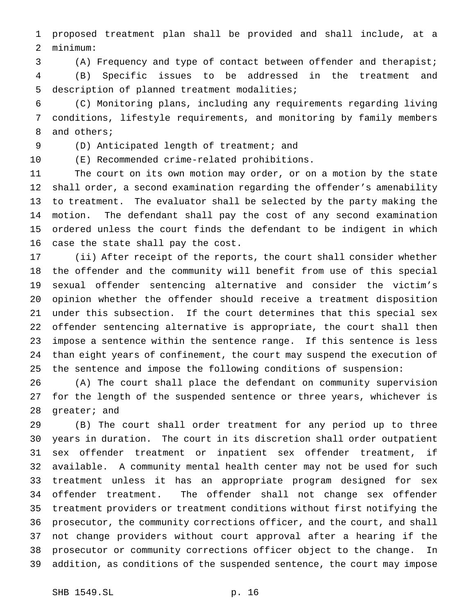proposed treatment plan shall be provided and shall include, at a minimum:

(A) Frequency and type of contact between offender and therapist;

 (B) Specific issues to be addressed in the treatment and description of planned treatment modalities;

 (C) Monitoring plans, including any requirements regarding living conditions, lifestyle requirements, and monitoring by family members and others;

(D) Anticipated length of treatment; and

(E) Recommended crime-related prohibitions.

 The court on its own motion may order, or on a motion by the state shall order, a second examination regarding the offender's amenability to treatment. The evaluator shall be selected by the party making the motion. The defendant shall pay the cost of any second examination ordered unless the court finds the defendant to be indigent in which case the state shall pay the cost.

 (ii) After receipt of the reports, the court shall consider whether the offender and the community will benefit from use of this special sexual offender sentencing alternative and consider the victim's opinion whether the offender should receive a treatment disposition under this subsection. If the court determines that this special sex offender sentencing alternative is appropriate, the court shall then impose a sentence within the sentence range. If this sentence is less than eight years of confinement, the court may suspend the execution of the sentence and impose the following conditions of suspension:

 (A) The court shall place the defendant on community supervision for the length of the suspended sentence or three years, whichever is greater; and

 (B) The court shall order treatment for any period up to three years in duration. The court in its discretion shall order outpatient sex offender treatment or inpatient sex offender treatment, if available. A community mental health center may not be used for such treatment unless it has an appropriate program designed for sex offender treatment. The offender shall not change sex offender treatment providers or treatment conditions without first notifying the prosecutor, the community corrections officer, and the court, and shall not change providers without court approval after a hearing if the prosecutor or community corrections officer object to the change. In addition, as conditions of the suspended sentence, the court may impose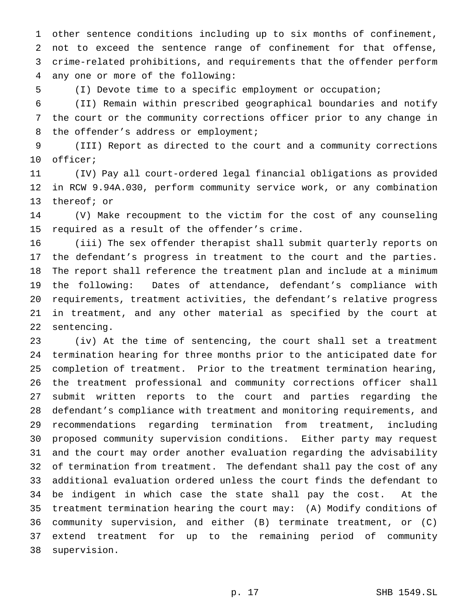other sentence conditions including up to six months of confinement, not to exceed the sentence range of confinement for that offense, crime-related prohibitions, and requirements that the offender perform any one or more of the following:

(I) Devote time to a specific employment or occupation;

 (II) Remain within prescribed geographical boundaries and notify the court or the community corrections officer prior to any change in 8 the offender's address or employment;

 (III) Report as directed to the court and a community corrections officer;

 (IV) Pay all court-ordered legal financial obligations as provided in RCW 9.94A.030, perform community service work, or any combination thereof; or

 (V) Make recoupment to the victim for the cost of any counseling required as a result of the offender's crime.

 (iii) The sex offender therapist shall submit quarterly reports on the defendant's progress in treatment to the court and the parties. The report shall reference the treatment plan and include at a minimum the following: Dates of attendance, defendant's compliance with requirements, treatment activities, the defendant's relative progress in treatment, and any other material as specified by the court at sentencing.

 (iv) At the time of sentencing, the court shall set a treatment termination hearing for three months prior to the anticipated date for completion of treatment. Prior to the treatment termination hearing, the treatment professional and community corrections officer shall submit written reports to the court and parties regarding the defendant's compliance with treatment and monitoring requirements, and recommendations regarding termination from treatment, including proposed community supervision conditions. Either party may request and the court may order another evaluation regarding the advisability of termination from treatment. The defendant shall pay the cost of any additional evaluation ordered unless the court finds the defendant to be indigent in which case the state shall pay the cost. At the treatment termination hearing the court may: (A) Modify conditions of community supervision, and either (B) terminate treatment, or (C) extend treatment for up to the remaining period of community supervision.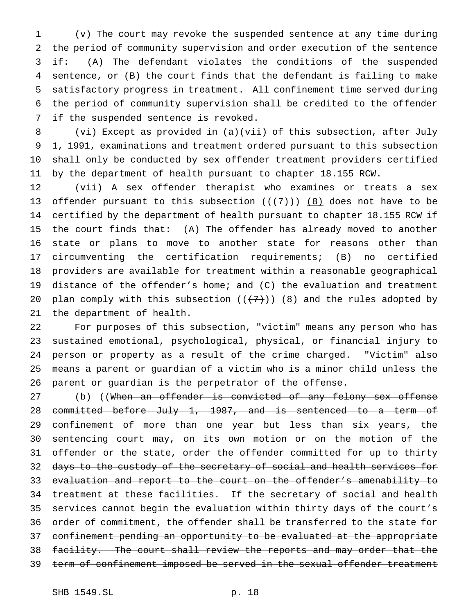(v) The court may revoke the suspended sentence at any time during the period of community supervision and order execution of the sentence if: (A) The defendant violates the conditions of the suspended sentence, or (B) the court finds that the defendant is failing to make satisfactory progress in treatment. All confinement time served during the period of community supervision shall be credited to the offender if the suspended sentence is revoked.

 (vi) Except as provided in (a)(vii) of this subsection, after July 1, 1991, examinations and treatment ordered pursuant to this subsection shall only be conducted by sex offender treatment providers certified by the department of health pursuant to chapter 18.155 RCW.

 (vii) A sex offender therapist who examines or treats a sex 13 offender pursuant to this subsection  $((+7))$   $(8)$  does not have to be certified by the department of health pursuant to chapter 18.155 RCW if the court finds that: (A) The offender has already moved to another state or plans to move to another state for reasons other than circumventing the certification requirements; (B) no certified providers are available for treatment within a reasonable geographical distance of the offender's home; and (C) the evaluation and treatment 20 plan comply with this subsection  $((+7))$   $(8)$  and the rules adopted by the department of health.

 For purposes of this subsection, "victim" means any person who has sustained emotional, psychological, physical, or financial injury to person or property as a result of the crime charged. "Victim" also means a parent or guardian of a victim who is a minor child unless the parent or guardian is the perpetrator of the offense.

27 (b) ((When an offender is convicted of any felony sex offense 28 committed before July 1, 1987, and is sentenced to a term of confinement of more than one year but less than six years, the sentencing court may, on its own motion or on the motion of the 31 offender or the state, order the offender committed for up to thirty 32 days to the custody of the secretary of social and health services for evaluation and report to the court on the offender's amenability to 34 treatment at these facilities. If the secretary of social and health services cannot begin the evaluation within thirty days of the court's order of commitment, the offender shall be transferred to the state for confinement pending an opportunity to be evaluated at the appropriate facility. The court shall review the reports and may order that the 39 term of confinement imposed be served in the sexual offender treatment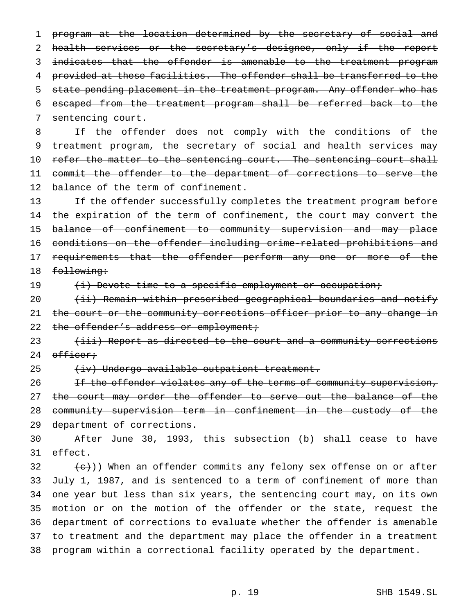1 program at the location determined by the secretary of social and 2 health services or the secretary's designee, only if the report 3 indicates that the offender is amenable to the treatment program 4 provided at these facilities. The offender shall be transferred to the 5 state pending placement in the treatment program. Any offender who has 6 escaped from the treatment program shall be referred back to the 7 sentencing court.

8 If the offender does not comply with the conditions of the 9 treatment program, the secretary of social and health services may 10 refer the matter to the sentencing court. The sentencing court shall 11 commit the offender to the department of corrections to serve the 12 balance of the term of confinement.

13 If the offender successfully completes the treatment program before 14 the expiration of the term of confinement, the court may convert the 15 balance of confinement to community supervision and may place 16 conditions on the offender including crime-related prohibitions and 17 requirements that the offender perform any one or more of the 18 following:

19 (i) Devote time to a specific employment or occupation;

20 (ii) Remain within prescribed geographical boundaries and notify 21 the court or the community corrections officer prior to any change in 22 the offender's address or employment;

23 (iii) Report as directed to the court and a community corrections 24 officer;

25 (iv) Undergo available outpatient treatment.

26 If the offender violates any of the terms of community supervision, 27 the court may order the offender to serve out the balance of the 28 community supervision term in confinement in the custody of the 29 department of corrections.

30 After June 30, 1993, this subsection (b) shall cease to have 31 effect.

 (e)) When an offender commits any felony sex offense on or after July 1, 1987, and is sentenced to a term of confinement of more than one year but less than six years, the sentencing court may, on its own motion or on the motion of the offender or the state, request the department of corrections to evaluate whether the offender is amenable to treatment and the department may place the offender in a treatment program within a correctional facility operated by the department.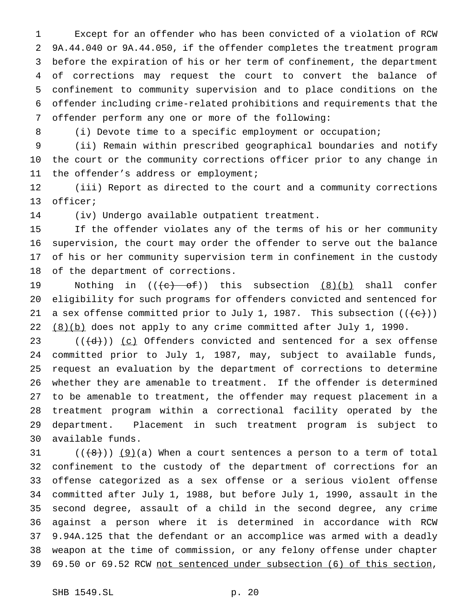Except for an offender who has been convicted of a violation of RCW 9A.44.040 or 9A.44.050, if the offender completes the treatment program before the expiration of his or her term of confinement, the department of corrections may request the court to convert the balance of confinement to community supervision and to place conditions on the offender including crime-related prohibitions and requirements that the offender perform any one or more of the following:

8 (i) Devote time to a specific employment or occupation;

 (ii) Remain within prescribed geographical boundaries and notify the court or the community corrections officer prior to any change in the offender's address or employment;

 (iii) Report as directed to the court and a community corrections officer;

(iv) Undergo available outpatient treatment.

 If the offender violates any of the terms of his or her community supervision, the court may order the offender to serve out the balance of his or her community supervision term in confinement in the custody of the department of corrections.

19 Mothing in  $((e)$  of)) this subsection  $(8)(b)$  shall confer eligibility for such programs for offenders convicted and sentenced for 21 a sex offense committed prior to July 1, 1987. This subsection  $((+e))$ 22 (8)(b) does not apply to any crime committed after July 1, 1990.

 $((\{d\}))(c)$  Offenders convicted and sentenced for a sex offense committed prior to July 1, 1987, may, subject to available funds, request an evaluation by the department of corrections to determine whether they are amenable to treatment. If the offender is determined to be amenable to treatment, the offender may request placement in a treatment program within a correctional facility operated by the department. Placement in such treatment program is subject to available funds.

 (( $\{8\})$ )  $\{9\}$ (a) When a court sentences a person to a term of total confinement to the custody of the department of corrections for an offense categorized as a sex offense or a serious violent offense committed after July 1, 1988, but before July 1, 1990, assault in the second degree, assault of a child in the second degree, any crime against a person where it is determined in accordance with RCW 9.94A.125 that the defendant or an accomplice was armed with a deadly weapon at the time of commission, or any felony offense under chapter 69.50 or 69.52 RCW not sentenced under subsection (6) of this section,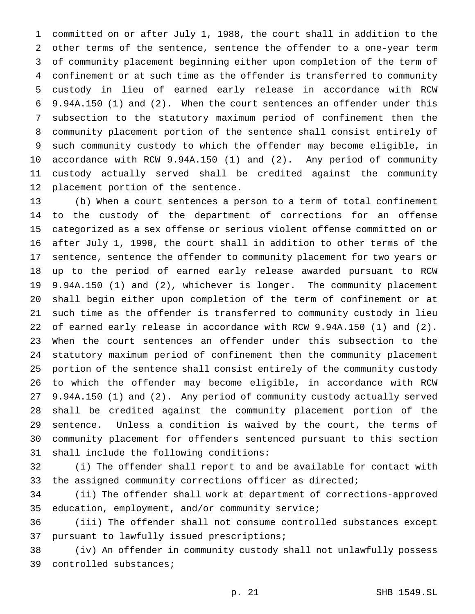committed on or after July 1, 1988, the court shall in addition to the other terms of the sentence, sentence the offender to a one-year term of community placement beginning either upon completion of the term of confinement or at such time as the offender is transferred to community custody in lieu of earned early release in accordance with RCW 9.94A.150 (1) and (2). When the court sentences an offender under this subsection to the statutory maximum period of confinement then the community placement portion of the sentence shall consist entirely of such community custody to which the offender may become eligible, in accordance with RCW 9.94A.150 (1) and (2). Any period of community custody actually served shall be credited against the community placement portion of the sentence.

 (b) When a court sentences a person to a term of total confinement to the custody of the department of corrections for an offense categorized as a sex offense or serious violent offense committed on or after July 1, 1990, the court shall in addition to other terms of the sentence, sentence the offender to community placement for two years or up to the period of earned early release awarded pursuant to RCW 9.94A.150 (1) and (2), whichever is longer. The community placement shall begin either upon completion of the term of confinement or at such time as the offender is transferred to community custody in lieu of earned early release in accordance with RCW 9.94A.150 (1) and (2). When the court sentences an offender under this subsection to the statutory maximum period of confinement then the community placement portion of the sentence shall consist entirely of the community custody to which the offender may become eligible, in accordance with RCW 9.94A.150 (1) and (2). Any period of community custody actually served shall be credited against the community placement portion of the sentence. Unless a condition is waived by the court, the terms of community placement for offenders sentenced pursuant to this section shall include the following conditions:

 (i) The offender shall report to and be available for contact with the assigned community corrections officer as directed;

 (ii) The offender shall work at department of corrections-approved education, employment, and/or community service;

 (iii) The offender shall not consume controlled substances except pursuant to lawfully issued prescriptions;

 (iv) An offender in community custody shall not unlawfully possess controlled substances;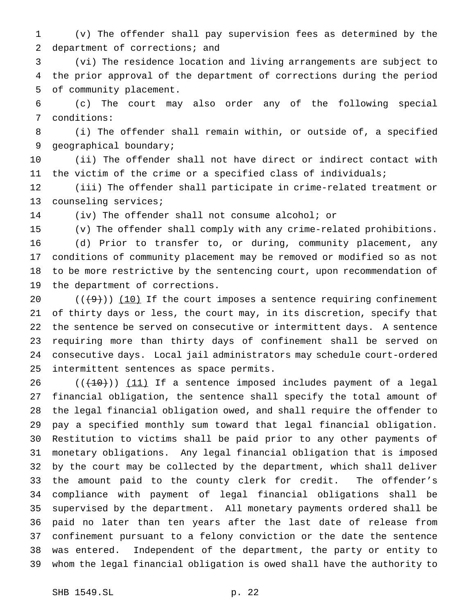(v) The offender shall pay supervision fees as determined by the 2 department of corrections; and

 (vi) The residence location and living arrangements are subject to the prior approval of the department of corrections during the period of community placement.

 (c) The court may also order any of the following special conditions:

 (i) The offender shall remain within, or outside of, a specified geographical boundary;

 (ii) The offender shall not have direct or indirect contact with the victim of the crime or a specified class of individuals;

 (iii) The offender shall participate in crime-related treatment or counseling services;

(iv) The offender shall not consume alcohol; or

(v) The offender shall comply with any crime-related prohibitions.

 (d) Prior to transfer to, or during, community placement, any conditions of community placement may be removed or modified so as not to be more restrictive by the sentencing court, upon recommendation of the department of corrections.

 $((+9))$  (10) If the court imposes a sentence requiring confinement of thirty days or less, the court may, in its discretion, specify that the sentence be served on consecutive or intermittent days. A sentence requiring more than thirty days of confinement shall be served on consecutive days. Local jail administrators may schedule court-ordered intermittent sentences as space permits.

 ( $(\overline{+10})$ )  $(11)$  If a sentence imposed includes payment of a legal financial obligation, the sentence shall specify the total amount of the legal financial obligation owed, and shall require the offender to pay a specified monthly sum toward that legal financial obligation. Restitution to victims shall be paid prior to any other payments of monetary obligations. Any legal financial obligation that is imposed by the court may be collected by the department, which shall deliver the amount paid to the county clerk for credit. The offender's compliance with payment of legal financial obligations shall be supervised by the department. All monetary payments ordered shall be paid no later than ten years after the last date of release from confinement pursuant to a felony conviction or the date the sentence was entered. Independent of the department, the party or entity to whom the legal financial obligation is owed shall have the authority to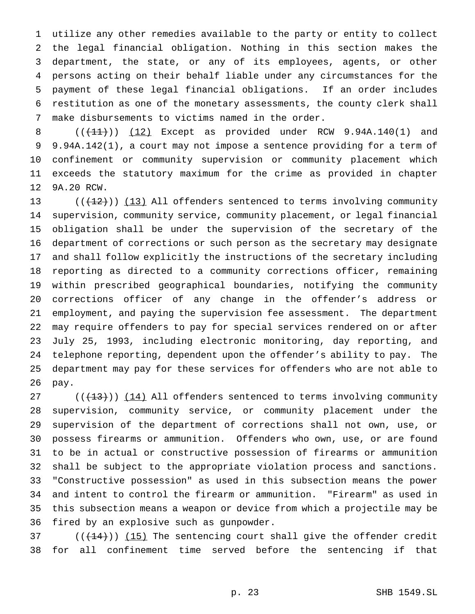utilize any other remedies available to the party or entity to collect the legal financial obligation. Nothing in this section makes the department, the state, or any of its employees, agents, or other persons acting on their behalf liable under any circumstances for the payment of these legal financial obligations. If an order includes restitution as one of the monetary assessments, the county clerk shall make disbursements to victims named in the order.

 $((+11))$   $(12)$  Except as provided under RCW 9.94A.140(1) and 9.94A.142(1), a court may not impose a sentence providing for a term of confinement or community supervision or community placement which exceeds the statutory maximum for the crime as provided in chapter 9A.20 RCW.

 $((+2)^n)$  (13) All offenders sentenced to terms involving community supervision, community service, community placement, or legal financial obligation shall be under the supervision of the secretary of the department of corrections or such person as the secretary may designate and shall follow explicitly the instructions of the secretary including reporting as directed to a community corrections officer, remaining within prescribed geographical boundaries, notifying the community corrections officer of any change in the offender's address or employment, and paying the supervision fee assessment. The department may require offenders to pay for special services rendered on or after July 25, 1993, including electronic monitoring, day reporting, and telephone reporting, dependent upon the offender's ability to pay. The department may pay for these services for offenders who are not able to pay.

 $((+13))$   $(14)$  All offenders sentenced to terms involving community supervision, community service, or community placement under the supervision of the department of corrections shall not own, use, or possess firearms or ammunition. Offenders who own, use, or are found to be in actual or constructive possession of firearms or ammunition shall be subject to the appropriate violation process and sanctions. "Constructive possession" as used in this subsection means the power and intent to control the firearm or ammunition. "Firearm" as used in this subsection means a weapon or device from which a projectile may be fired by an explosive such as gunpowder.

37  $((+14))$   $(15)$  The sentencing court shall give the offender credit for all confinement time served before the sentencing if that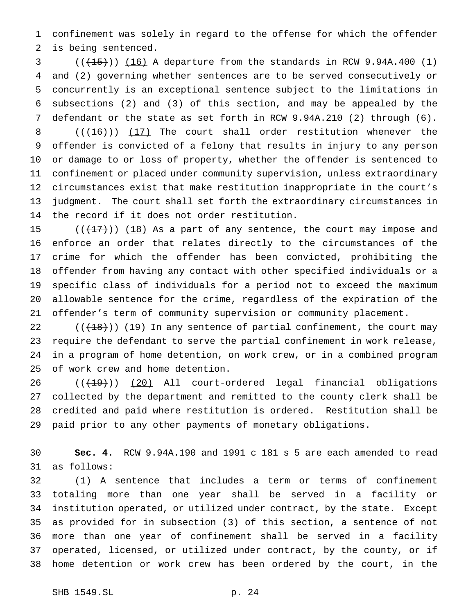confinement was solely in regard to the offense for which the offender is being sentenced.

 $(1, 15)$  (( $16$ ) A departure from the standards in RCW 9.94A.400 (1) and (2) governing whether sentences are to be served consecutively or concurrently is an exceptional sentence subject to the limitations in subsections (2) and (3) of this section, and may be appealed by the defendant or the state as set forth in RCW 9.94A.210 (2) through (6).  $((+16))$   $(17)$  The court shall order restitution whenever the offender is convicted of a felony that results in injury to any person or damage to or loss of property, whether the offender is sentenced to confinement or placed under community supervision, unless extraordinary circumstances exist that make restitution inappropriate in the court's judgment. The court shall set forth the extraordinary circumstances in the record if it does not order restitution.

 $((+17))$   $(18)$  As a part of any sentence, the court may impose and enforce an order that relates directly to the circumstances of the crime for which the offender has been convicted, prohibiting the offender from having any contact with other specified individuals or a specific class of individuals for a period not to exceed the maximum allowable sentence for the crime, regardless of the expiration of the offender's term of community supervision or community placement.

 $((+18))$   $(19)$  In any sentence of partial confinement, the court may require the defendant to serve the partial confinement in work release, in a program of home detention, on work crew, or in a combined program of work crew and home detention.

26 ((<del>(19)</del>)) (20) All court-ordered legal financial obligations collected by the department and remitted to the county clerk shall be credited and paid where restitution is ordered. Restitution shall be paid prior to any other payments of monetary obligations.

 **Sec. 4.** RCW 9.94A.190 and 1991 c 181 s 5 are each amended to read as follows:

 (1) A sentence that includes a term or terms of confinement totaling more than one year shall be served in a facility or institution operated, or utilized under contract, by the state. Except as provided for in subsection (3) of this section, a sentence of not more than one year of confinement shall be served in a facility operated, licensed, or utilized under contract, by the county, or if home detention or work crew has been ordered by the court, in the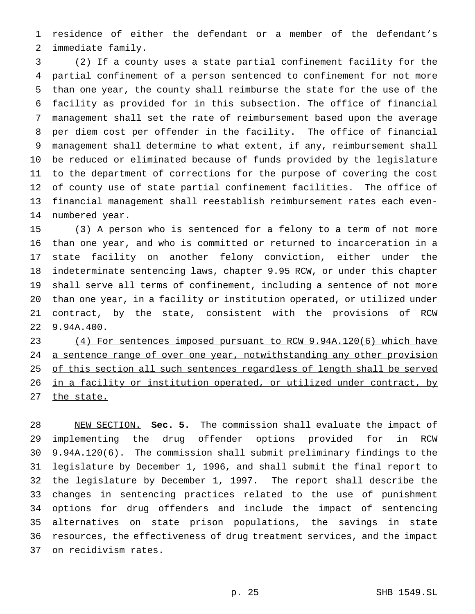residence of either the defendant or a member of the defendant's immediate family.

 (2) If a county uses a state partial confinement facility for the partial confinement of a person sentenced to confinement for not more than one year, the county shall reimburse the state for the use of the facility as provided for in this subsection. The office of financial management shall set the rate of reimbursement based upon the average per diem cost per offender in the facility. The office of financial management shall determine to what extent, if any, reimbursement shall be reduced or eliminated because of funds provided by the legislature to the department of corrections for the purpose of covering the cost of county use of state partial confinement facilities. The office of financial management shall reestablish reimbursement rates each even-numbered year.

 (3) A person who is sentenced for a felony to a term of not more than one year, and who is committed or returned to incarceration in a state facility on another felony conviction, either under the indeterminate sentencing laws, chapter 9.95 RCW, or under this chapter shall serve all terms of confinement, including a sentence of not more than one year, in a facility or institution operated, or utilized under contract, by the state, consistent with the provisions of RCW 9.94A.400.

 (4) For sentences imposed pursuant to RCW 9.94A.120(6) which have 24 a sentence range of over one year, notwithstanding any other provision 25 of this section all such sentences regardless of length shall be served in a facility or institution operated, or utilized under contract, by 27 the state.

 NEW SECTION. **Sec. 5.** The commission shall evaluate the impact of implementing the drug offender options provided for in RCW 9.94A.120(6). The commission shall submit preliminary findings to the legislature by December 1, 1996, and shall submit the final report to the legislature by December 1, 1997. The report shall describe the changes in sentencing practices related to the use of punishment options for drug offenders and include the impact of sentencing alternatives on state prison populations, the savings in state resources, the effectiveness of drug treatment services, and the impact on recidivism rates.